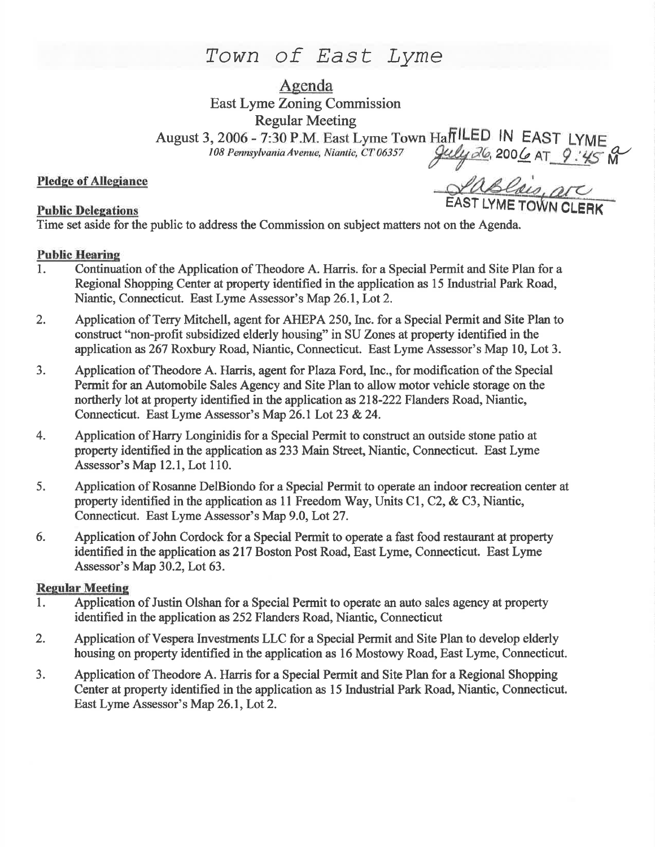# Town of East Lyme

Agenda East Lyme Zoning Commission Regular Meeting

August 3, 2006 - 7:30 P.M. East Lyme Town Haff<sup>ILED</sup> IN EAST LYME 108 Pennsytvania Avenue, Niantic, CT 06357 ffiles of 200 <mark>G</mark> AT  $\frac{9:45}{M}$  M

### Pledge of Allegiance

Pledge of Allegiance<br>Public Delegations<br>Public Delegations

Time set aside for the public to address the Commission on subject matters not on the Agenda.

#### Public Hearine

- l. Continuation of the Application of Theodore A. Harris. for a Special Permit and Site Plan for <sup>a</sup> Regional Shopping Center at property identified in the application as 15 Industrial Park Road, Niantic, Connecticut. East Lyme Assessor's Map 26.1, Lot 2.
- 2. Application of Terry Mitchell, agent for AHEPA 250, Inc. for a Special Permit and Site Plan to construct "non-profit subsidized elderly housing" in SU Zones at property identified in the application as267 Roxbury Road, Niantic, Connecticut. East Lyme Assessor's Map 10, Lot 3.
- 3. Application of Theodore A. Harris, agent for Plaza Ford, Inc., for modification of the Special Permit for an Automobile Sales Agency and Site Plan to allow motor vehicle storage on the northerly lot at property identified in the application as 218-222 Flanders Road, Niantic, Connecticut. East Lyme Assessor's Map 26.1 Lot 23 & 24.
- 4. Application of Harry Longinidis for a Special Permit to construct an outside stone patio at property identified in the application as233 Main Street, Niantic, Connecticut. East Lyme Assessor's Map 12.1, Lot 110.
- 5. Application of Rosanne DelBiondo for a Special Permit to operate an indoor recreation center at property identified in the application as 11 Freedom Way, Units C1, C2, & C3, Niantic, Connecticut. East Lyme Assessor's Map 9.0, Lot27.
- 6. Application of John Cordock for a Special Permit to operate a fast food restaurant at property identified in the application as 217 Boston Post Road, East Lyme, Connecticut. East Lyme Assessor's Map30.2, Lot 63.

#### **Regular Meeting**

- 1. Application of Justin Olshan for a Special Permit to operate an auto sales agency at property identified in the application as 252 Flanders Road, Niantic, Connecticut
- 2. Application of Vespera Investments LLC for a Special Permit and Site Plan to develop elderly housing on property identified in the application as 16 Mostowy Road, East Lyme, Connecticut.
- 3. Application of Theodore A. Harris for a Special Permit and Site Plan for a Regional Shopping Center at property identified in the application as 15 Industial Park Road, Niantic, Connecticut. East Lyme Assessor's Map 26.1, Lot 2.